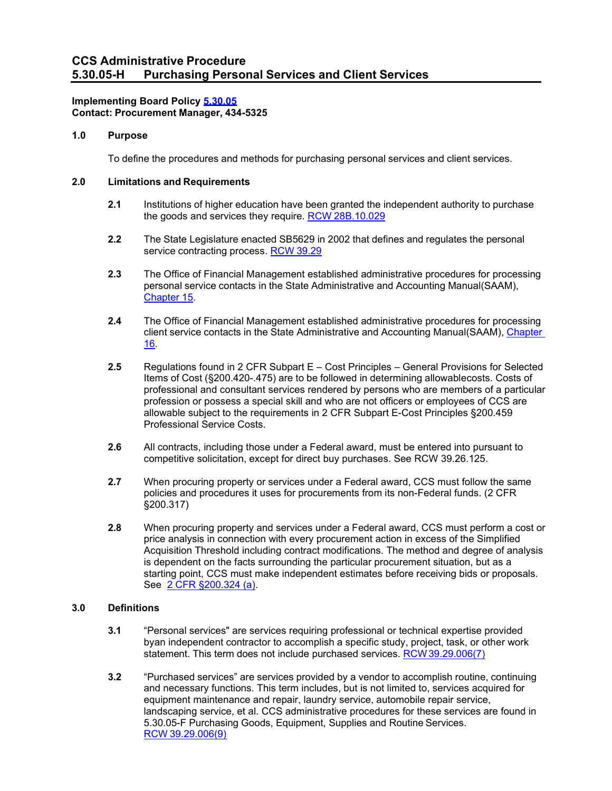# **Implementing Board Policy [5.30.05](https://ccs.spokane.edu/About-Us/Leadership/Board-of-Trustees/Policies-Procedures/Chapter5#AccWE2-11) Contact: Procurement Manager, 434-5325**

## **1.0 Purpose**

To define the procedures and methods for purchasing personal services and client services.

# **2.0 Limitations and Requirements**

- **2.1** Institutions of higher education have been granted the independent authority to purchase the goods and services they require. RCW [28B.10.029](http://apps.leg.wa.gov/RCW/default.aspx?cite=28B.10.029)
- **2.2** The State Legislature enacted SB5629 in 2002 that defines and regulates the personal service contracting process. RCW [39.29](http://apps.leg.wa.gov/RCW/default.aspx?cite=39.29)
- **2.3** The Office of Financial Management established administrative procedures for processing personal service contacts in the State Administrative and Accounting Manual(SAAM), [Chapter](https://www.ofm.wa.gov/accounting/saam/contents) 15.
- **2.4** The Office of Financial Management established administrative procedures for processing client service contacts in the State Administrative and Accounting Manual(SAAM), [Chapter](https://www.ofm.wa.gov/accounting/saam/contents) [16.](https://www.ofm.wa.gov/accounting/saam/contents)
- **2.5** Regulations found in 2 CFR Subpart E Cost Principles General Provisions for Selected Items of Cost (§200.420-.475) are to be followed in determining allowablecosts. Costs of professional and consultant services rendered by persons who are members of a particular profession or possess a special skill and who are not officers or employees of CCS are allowable subject to the requirements in 2 CFR Subpart E-Cost Principles §200.459 Professional Service Costs.
- **2.6** All contracts, including those under a Federal award, must be entered into pursuant to competitive solicitation, except for direct buy purchases. See RCW 39.26.125.
- **2.7** When procuring property or services under a Federal award, CCS must follow the same policies and procedures it uses for procurements from its non-Federal funds. (2 CFR §200.317)
- **2.8** When procuring property and services under a Federal award, CCS must perform a cost or price analysis in connection with every procurement action in excess of the Simplified Acquisition Threshold including contract modifications. The method and degree of analysis is dependent on the facts surrounding the particular procurement situation, but as a starting point, CCS must make independent estimates before receiving bids or proposals. See [2 CFR §200.324 \(a\).](https://ecfr.federalregister.gov/current/title-2/subtitle-A/chapter-II/part-200/subpart-D/subject-group-ECFR1ad5506a4809976/section-200.324)

## **3.0 Definitions**

- **3.1** "Personal services" are services requiring professional or technical expertise provided byan independent contractor to accomplish a specific study, project, task, or other work statement. This term does not include purchased services. [RCW39.29.006\(7\)](http://apps.leg.wa.gov/RCW/default.aspx?cite=39.29.006)
- **3.2** "Purchased services" are services provided by a vendor to accomplish routine, continuing and necessary functions. This term includes, but is not limited to, services acquired for equipment maintenance and repair, laundry service, automobile repair service, landscaping service, et al. CCS administrative procedures for these services are found in 5.30.05-F Purchasing Goods, Equipment, Supplies and Routine Services. RCW [39.29.006\(9\)](http://apps.leg.wa.gov/RCW/default.aspx?cite=39.29.006)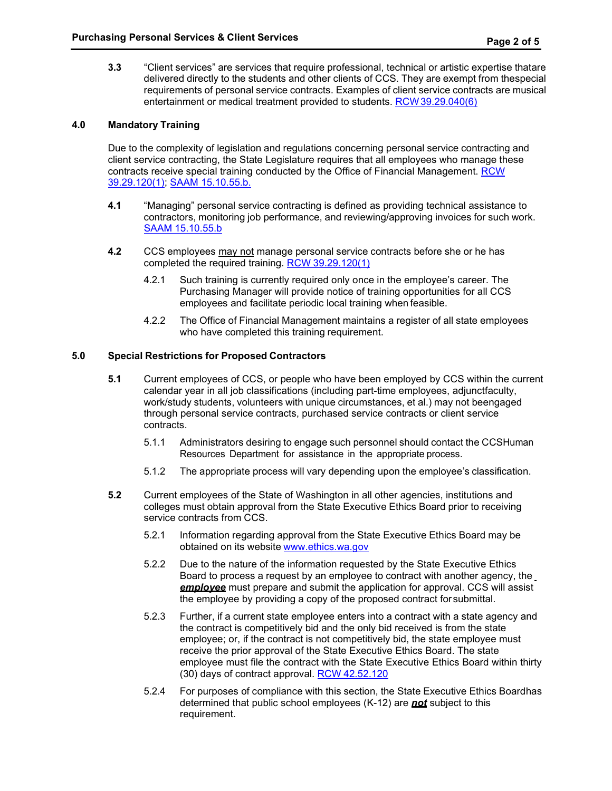**3.3** "Client services" are services that require professional, technical or artistic expertise thatare delivered directly to the students and other clients of CCS. They are exempt from thespecial requirements of personal service contracts. Examples of client service contracts are musical entertainment or medical treatment provided to students. [RCW39.29.040\(6\)](http://apps.leg.wa.gov/RCW/default.aspx?cite=39.29.040)

## **4.0 Mandatory Training**

Due to the complexity of legislation and regulations concerning personal service contracting and client service contracting, the State Legislature requires that all employees who manage these contracts receive special training conducted by the Office of Financial Management. [RCW](http://apps.leg.wa.gov/RCW/default.aspx?cite=39.29.120) [39.29.120\(1\); S](http://apps.leg.wa.gov/RCW/default.aspx?cite=39.29.120)AAM [15.10.55.b.](https://www.ofm.wa.gov/accounting/saam/contents)

- **4.1** "Managing" personal service contracting is defined as providing technical assistance to contractors, monitoring job performance, and reviewing/approving invoices for such work. SAAM [15.10.55.b](https://www.ofm.wa.gov/accounting/saam/contents)
- **4.2** CCS employees may not manage personal service contracts before she or he has completed the required training. RCW [39.29.120\(1\)](http://apps.leg.wa.gov/RCW/default.aspx?cite=39.29.120)
	- 4.2.1 Such training is currently required only once in the employee's career. The Purchasing Manager will provide notice of training opportunities for all CCS employees and facilitate periodic local training when feasible.
	- 4.2.2 The Office of Financial Management maintains a register of all state employees who have completed this training requirement.

## **5.0 Special Restrictions for Proposed Contractors**

- **5.1** Current employees of CCS, or people who have been employed by CCS within the current calendar year in all job classifications (including part-time employees, adjunctfaculty, work/study students, volunteers with unique circumstances, et al.) may not beengaged through personal service contracts, purchased service contracts or client service contracts.
	- 5.1.1 Administrators desiring to engage such personnel should contact the CCSHuman Resources Department for assistance in the appropriate process.
	- 5.1.2 The appropriate process will vary depending upon the employee's classification.
- **5.2** Current employees of the State of Washington in all other agencies, institutions and colleges must obtain approval from the State Executive Ethics Board prior to receiving service contracts from CCS.
	- 5.2.1 Information regarding approval from the State Executive Ethics Board may be obtained on its website [www.ethics.wa.gov](http://www.ethics.wa.gov/)
	- 5.2.2 Due to the nature of the information requested by the State Executive Ethics Board to process a request by an employee to contract with another agency, the *employee* must prepare and submit the application for approval. CCS will assist the employee by providing a copy of the proposed contract forsubmittal.
	- 5.2.3 Further, if a current state employee enters into a contract with a state agency and the contract is competitively bid and the only bid received is from the state employee; or, if the contract is not competitively bid, the state employee must receive the prior approval of the State Executive Ethics Board. The state employee must file the contract with the State Executive Ethics Board within thirty (30) days of contract approval. RCW [42.52.120](http://apps.leg.wa.gov/RCW/default.aspx?cite=42.52.120)
	- 5.2.4 For purposes of compliance with this section, the State Executive Ethics Boardhas determined that public school employees (K-12) are *not* subject to this requirement.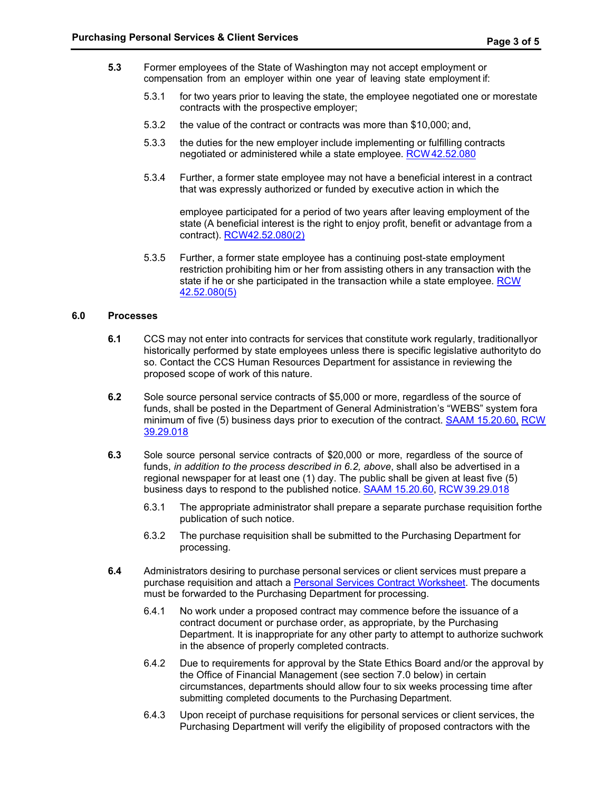- **5.3** Former employees of the State of Washington may not accept employment or compensation from an employer within one year of leaving state employment if:
	- 5.3.1 for two years prior to leaving the state, the employee negotiated one or morestate contracts with the prospective employer;
	- 5.3.2 the value of the contract or contracts was more than \$10,000; and,
	- 5.3.3 the duties for the new employer include implementing or fulfilling contracts negotiated or administered while a state employee. [RCW42.52.080](http://apps.leg.wa.gov/RCW/default.aspx?cite=42.52.080)
	- 5.3.4 Further, a former state employee may not have a beneficial interest in a contract that was expressly authorized or funded by executive action in which the

employee participated for a period of two years after leaving employment of the state (A beneficial interest is the right to enjoy profit, benefit or advantage from a contract). [RCW42.52.080\(2\)](http://apps.leg.wa.gov/RCW/default.aspx?cite=42.52.080)

5.3.5 Further, a former state employee has a continuing post-state employment restriction prohibiting him or her from assisting others in any transaction with the state if he or she participated in the transaction while a state employee. [RCW](http://apps.leg.wa.gov/RCW/default.aspx?cite=42.52.080) [42.52.080\(5\)](http://apps.leg.wa.gov/RCW/default.aspx?cite=42.52.080)

## **6.0 Processes**

- **6.1** CCS may not enter into contracts for services that constitute work regularly, traditionallyor historically performed by state employees unless there is specific legislative authorityto do so. Contact the CCS Human Resources Department for assistance in reviewing the proposed scope of work of this nature.
- **6.2** Sole source personal service contracts of \$5,000 or more, regardless of the source of funds, shall be posted in the Department of General Administration's "WEBS" system fora minimum of five (5) business days prior to execution of the contract. [SAAM 15.20.60](https://www.ofm.wa.gov/accounting/saam/contents)[,](http://apps.leg.wa.gov/rcw/default.aspx?cite=39.29.018) [RCW](http://apps.leg.wa.gov/rcw/default.aspx?cite=39.29.018) [39.29.018](http://apps.leg.wa.gov/rcw/default.aspx?cite=39.29.018)
- **6.3** Sole source personal service contracts of \$20,000 or more, regardless of the source of funds, *in addition to the process described in 6.2, above*, shall also be advertised in a regional newspaper for at least one (1) day. The public shall be given at least five (5) business days to respond to the published notice. SAAM [15.20.60,](https://www.ofm.wa.gov/accounting/saam/contents) RCW [39.29.018](http://apps.leg.wa.gov/rcw/default.aspx?cite=39.29.018)
	- 6.3.1 The appropriate administrator shall prepare a separate purchase requisition forthe publication of such notice.
	- 6.3.2 The purchase requisition shall be submitted to the Purchasing Department for processing.
- **6.4** Administrators desiring to purchase personal services or client services must prepare a purchase requisition and attach a [Personal Services Contract Worksheet. T](https://ccs.spokane.edu/ccsglobal/media/Global/FormsA-Z/ccs-2728.pdf)he documents must be forwarded to the Purchasing Department for processing.
	- 6.4.1 No work under a proposed contract may commence before the issuance of a contract document or purchase order, as appropriate, by the Purchasing Department. It is inappropriate for any other party to attempt to authorize suchwork in the absence of properly completed contracts.
	- 6.4.2 Due to requirements for approval by the State Ethics Board and/or the approval by the Office of Financial Management (see section 7.0 below) in certain circumstances, departments should allow four to six weeks processing time after submitting completed documents to the Purchasing Department.
	- 6.4.3 Upon receipt of purchase requisitions for personal services or client services, the Purchasing Department will verify the eligibility of proposed contractors with the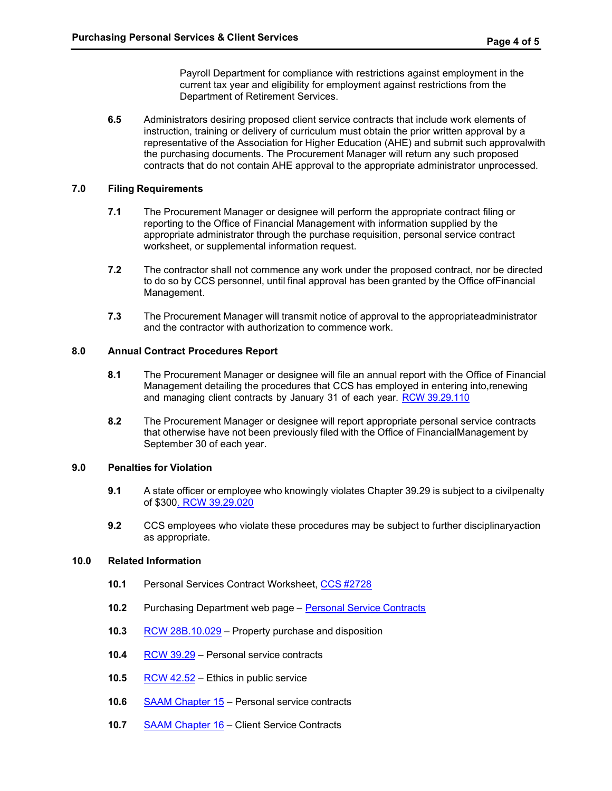Payroll Department for compliance with restrictions against employment in the current tax year and eligibility for employment against restrictions from the Department of Retirement Services.

**6.5** Administrators desiring proposed client service contracts that include work elements of instruction, training or delivery of curriculum must obtain the prior written approval by a representative of the Association for Higher Education (AHE) and submit such approvalwith the purchasing documents. The Procurement Manager will return any such proposed contracts that do not contain AHE approval to the appropriate administrator unprocessed.

### **7.0 Filing Requirements**

- **7.1** The Procurement Manager or designee will perform the appropriate contract filing or reporting to the Office of Financial Management with information supplied by the appropriate administrator through the purchase requisition, personal service contract worksheet, or supplemental information request.
- **7.2** The contractor shall not commence any work under the proposed contract, nor be directed to do so by CCS personnel, until final approval has been granted by the Office ofFinancial Management.
- **7.3** The Procurement Manager will transmit notice of approval to the appropriateadministrator and the contractor with authorization to commence work.

### **8.0 Annual Contract Procedures Report**

- **8.1** The Procurement Manager or designee will file an annual report with the Office of Financial Management detailing the procedures that CCS has employed in entering into,renewing and managing client contracts by January 31 of each year. RCW [39.29.110](http://apps.leg.wa.gov/RCW/default.aspx?cite=39.29.110)
- **8.2** The Procurement Manager or designee will report appropriate personal service contracts that otherwise have not been previously filed with the Office of FinancialManagement by September 30 of each year.

#### **9.0 Penalties for Violation**

- **9.1** A state officer or employee who knowingly violates Chapter 39.29 is subject to a civilpenalty of \$300. RCW [39.29.020](http://apps.leg.wa.gov/RCW/default.aspx?cite=39.29.020)
- **9.2** CCS employees who violate these procedures may be subject to further disciplinaryaction as appropriate.

#### **10.0 Related Information**

- **10.1** Personal Services Contract Worksheet, CCS [#2728](https://ccs.spokane.edu/ccsglobal/media/Global/FormsA-Z/ccs-2728.pdf)
- **10.2** Purchasing Department web page Personal Service [Contracts](http://ccsnet.ccs.spokane.edu/Purchasing/CUSTOM-PAGES/Personal-Service-Contracts.aspx)
- **10.3** RCW [28B.10.029](http://apps.leg.wa.gov/RCW/default.aspx?cite=28B.10.029) Property purchase and disposition
- **10.4** RCW [39.29](http://apps.leg.wa.gov/RCW/default.aspx?cite=39.29) Personal service contracts
- **10.5** RCW [42.52](http://apps.leg.wa.gov/RCW/default.aspx?cite=42.52) Ethics in public service
- **10.6** SAAM [Chapter](https://www.ofm.wa.gov/accounting/saam/contents) 15 Personal service contracts
- **10.7** SAAM [Chapter](https://www.ofm.wa.gov/accounting/saam/contents) 16 Client Service Contracts